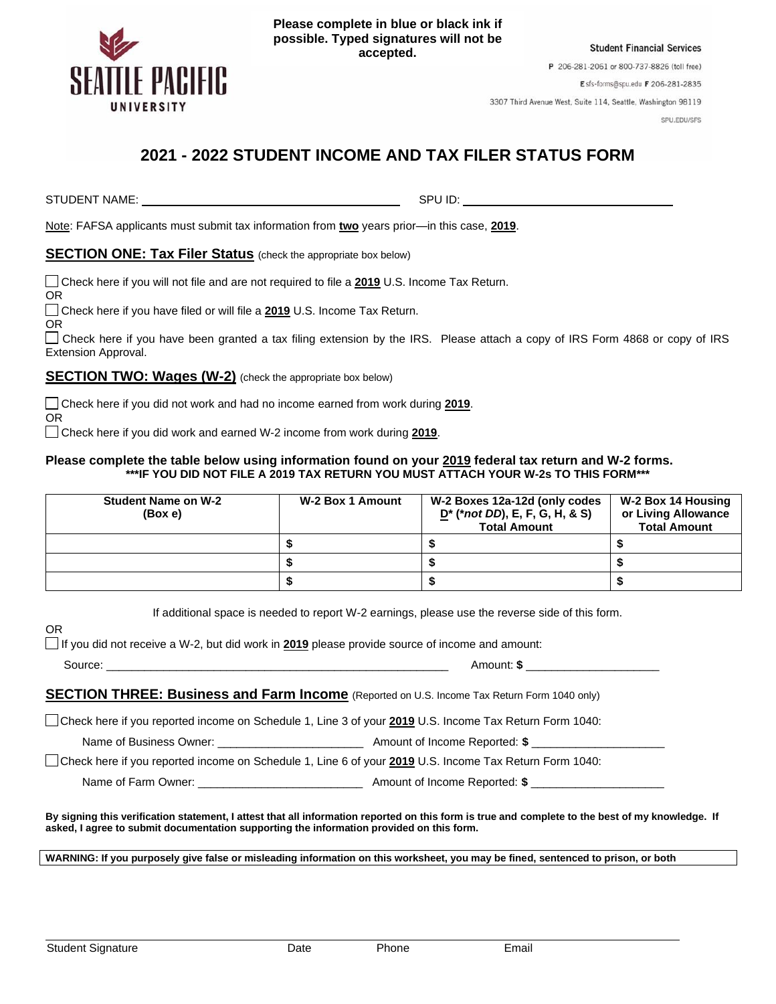

**Please complete in blue or black ink if possible. Typed signatures will not be accepted.**

**Student Financial Services** 

P 206-281-2061 or 800-737-8826 (toll free)

Esfs-forms@spu.edu F 206-281-2835

3307 Third Avenue West, Suite 114, Seattle, Washington 98119

SPU.EDU/SFS

# **2021 - 2022 STUDENT INCOME AND TAX FILER STATUS FORM**

STUDENT NAME: SPU ID: SPU ID: SPU ID: SPU ID: SPU ID: SPU ID: SPU ID: SPU ID: SPU ID: SPU ID: SPU ID: SPU ID: SPU ID: SPU ID: SPU ID: SPU ID: SPU ID: SPU ID: SPU ID: SPU ID: SPU ID: SPU ID: SPU ID: SPU ID: SPU ID: SPU ID:

Note: FAFSA applicants must submit tax information from **two** years prior—in this case, **2019**.

### **SECTION ONE: Tax Filer Status** (check the appropriate box below)

Check here if you will not file and are not required to file a **2019** U.S. Income Tax Return.

OR

Check here if you have filed or will file a **2019** U.S. Income Tax Return.

OR

OR

 $\Box$  Check here if you have been granted a tax filing extension by the IRS. Please attach a copy of IRS Form 4868 or copy of IRS Extension Approval.

### **SECTION TWO: Wages (W-2)** (check the appropriate box below)

Check here if you did not work and had no income earned from work during **2019**.

Check here if you did work and earned W-2 income from work during **2019**.

#### **Please complete the table below using information found on your 2019 federal tax return and W-2 forms. \*\*\*IF YOU DID NOT FILE A 2019 TAX RETURN YOU MUST ATTACH YOUR W-2s TO THIS FORM\*\*\***

| <b>Student Name on W-2</b><br>(Box e) | W-2 Box 1 Amount | W-2 Boxes 12a-12d (only codes<br>$D^*$ (*not DD), E, F, G, H, & S)<br><b>Total Amount</b> | W-2 Box 14 Housing<br>or Living Allowance<br><b>Total Amount</b> |
|---------------------------------------|------------------|-------------------------------------------------------------------------------------------|------------------------------------------------------------------|
|                                       |                  |                                                                                           |                                                                  |
|                                       |                  |                                                                                           |                                                                  |
|                                       |                  |                                                                                           |                                                                  |

If additional space is needed to report W-2 earnings, please use the reverse side of this form.

OR

If you did not receive a W-2, but did work in **2019** please provide source of income and amount:

| $\sim$  | `ีกounเ. |
|---------|----------|
| SOUITC. | - 13     |
| .       |          |
|         |          |

## **SECTION THREE: Business and Farm Income** (Reported on U.S. Income Tax Return Form 1040 only)

Check here if you reported income on Schedule 1, Line 3 of your **2019** U.S. Income Tax Return Form 1040:

Name of Business Owner: \_\_\_\_\_\_\_\_\_\_\_\_\_\_\_\_\_\_\_\_\_\_\_ Amount of Income Reported: **\$** \_\_\_\_\_\_\_\_\_\_\_\_\_\_\_\_\_\_\_\_\_

Check here if you reported income on Schedule 1, Line 6 of your **2019** U.S. Income Tax Return Form 1040:

Name of Farm Owner: \_\_\_\_\_\_\_\_\_\_\_\_\_\_\_\_\_\_\_\_\_\_\_\_\_\_ Amount of Income Reported: **\$** \_\_\_\_\_\_\_\_\_\_\_\_\_\_\_\_\_\_\_\_\_

**By signing this verification statement, I attest that all information reported on this form is true and complete to the best of my knowledge. If asked, I agree to submit documentation supporting the information provided on this form.**

**WARNING: If you purposely give false or misleading information on this worksheet, you may be fined, sentenced to prison, or both**